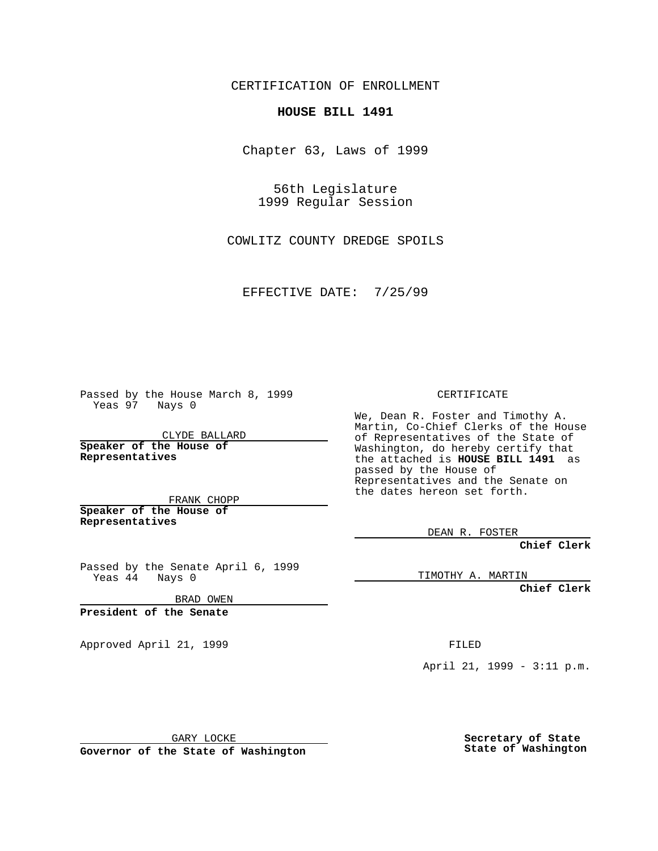CERTIFICATION OF ENROLLMENT

## **HOUSE BILL 1491**

Chapter 63, Laws of 1999

56th Legislature 1999 Regular Session

COWLITZ COUNTY DREDGE SPOILS

EFFECTIVE DATE: 7/25/99

Passed by the House March 8, 1999 Yeas 97 Nays 0

CLYDE BALLARD **Speaker of the House of Representatives**

FRANK CHOPP **Speaker of the House of**

**Representatives**

Passed by the Senate April 6, 1999 Yeas 44 Nays 0

BRAD OWEN

**President of the Senate**

Approved April 21, 1999 FILED

CERTIFICATE

We, Dean R. Foster and Timothy A. Martin, Co-Chief Clerks of the House of Representatives of the State of Washington, do hereby certify that the attached is **HOUSE BILL 1491** as passed by the House of Representatives and the Senate on the dates hereon set forth.

DEAN R. FOSTER

**Chief Clerk**

TIMOTHY A. MARTIN

**Chief Clerk**

April 21, 1999 - 3:11 p.m.

GARY LOCKE

**Governor of the State of Washington**

**Secretary of State State of Washington**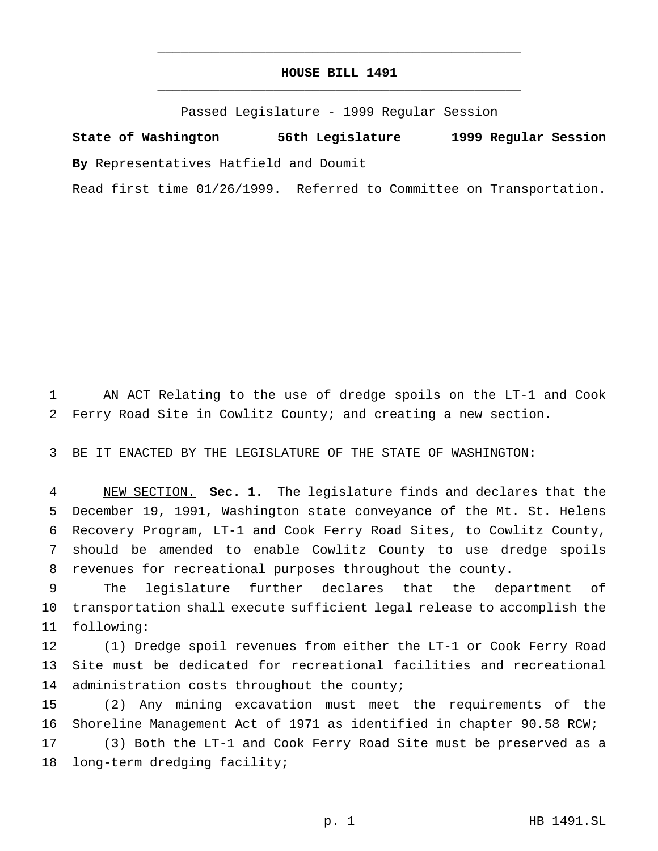## **HOUSE BILL 1491** \_\_\_\_\_\_\_\_\_\_\_\_\_\_\_\_\_\_\_\_\_\_\_\_\_\_\_\_\_\_\_\_\_\_\_\_\_\_\_\_\_\_\_\_\_\_\_

\_\_\_\_\_\_\_\_\_\_\_\_\_\_\_\_\_\_\_\_\_\_\_\_\_\_\_\_\_\_\_\_\_\_\_\_\_\_\_\_\_\_\_\_\_\_\_

Passed Legislature - 1999 Regular Session

**State of Washington 56th Legislature 1999 Regular Session By** Representatives Hatfield and Doumit

Read first time 01/26/1999. Referred to Committee on Transportation.

 AN ACT Relating to the use of dredge spoils on the LT-1 and Cook Ferry Road Site in Cowlitz County; and creating a new section.

BE IT ENACTED BY THE LEGISLATURE OF THE STATE OF WASHINGTON:

 NEW SECTION. **Sec. 1.** The legislature finds and declares that the December 19, 1991, Washington state conveyance of the Mt. St. Helens Recovery Program, LT-1 and Cook Ferry Road Sites, to Cowlitz County, should be amended to enable Cowlitz County to use dredge spoils revenues for recreational purposes throughout the county.

 The legislature further declares that the department of transportation shall execute sufficient legal release to accomplish the following:

 (1) Dredge spoil revenues from either the LT-1 or Cook Ferry Road Site must be dedicated for recreational facilities and recreational 14 administration costs throughout the county;

 (2) Any mining excavation must meet the requirements of the Shoreline Management Act of 1971 as identified in chapter 90.58 RCW; (3) Both the LT-1 and Cook Ferry Road Site must be preserved as a

long-term dredging facility;